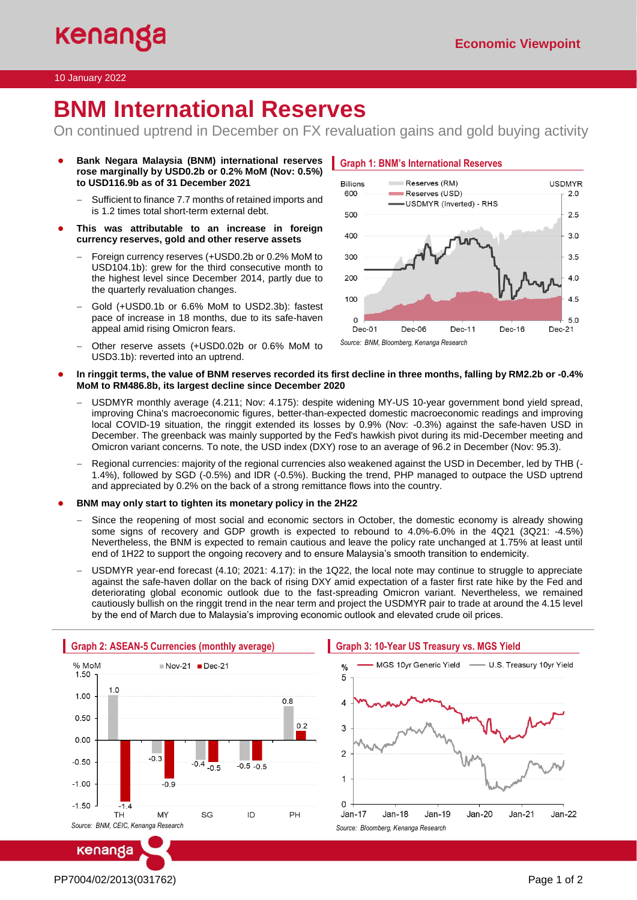### 10 January 2022

# **BNM International Reserves**

On continued uptrend in December on FX revaluation gains and gold buying activity

- **Bank Negara Malaysia (BNM) international reserves rose marginally by USD0.2b or 0.2% MoM (Nov: 0.5%) to USD116.9b as of 31 December 2021**
	- Sufficient to finance 7.7 months of retained imports and is 1.2 times total short-term external debt.
- **This was attributable to an increase in foreign currency reserves, gold and other reserve assets**
	- − Foreign currency reserves (+USD0.2b or 0.2% MoM to USD104.1b): grew for the third consecutive month to the highest level since December 2014, partly due to the quarterly revaluation changes.
	- − Gold (+USD0.1b or 6.6% MoM to USD2.3b): fastest pace of increase in 18 months, due to its safe-haven appeal amid rising Omicron fears.
	- − Other reserve assets (+USD0.02b or 0.6% MoM to USD3.1b): reverted into an uptrend.



- **In ringgit terms, the value of BNM reserves recorded its first decline in three months, falling by RM2.2b or -0.4% MoM to RM486.8b, its largest decline since December 2020**
	- USDMYR monthly average (4.211; Nov: 4.175): despite widening MY-US 10-year government bond yield spread, improving China's macroeconomic figures, better-than-expected domestic macroeconomic readings and improving local COVID-19 situation, the ringgit extended its losses by 0.9% (Nov: -0.3%) against the safe-haven USD in December. The greenback was mainly supported by the Fed's hawkish pivot during its mid-December meeting and Omicron variant concerns. To note, the USD index (DXY) rose to an average of 96.2 in December (Nov: 95.3).
	- − Regional currencies: majority of the regional currencies also weakened against the USD in December, led by THB (- 1.4%), followed by SGD (-0.5%) and IDR (-0.5%). Bucking the trend, PHP managed to outpace the USD uptrend and appreciated by 0.2% on the back of a strong remittance flows into the country.
- **BNM may only start to tighten its monetary policy in the 2H22** 
	- Since the reopening of most social and economic sectors in October, the domestic economy is already showing some signs of recovery and GDP growth is expected to rebound to 4.0%-6.0% in the 4Q21 (3Q21: -4.5%) Nevertheless, the BNM is expected to remain cautious and leave the policy rate unchanged at 1.75% at least until end of 1H22 to support the ongoing recovery and to ensure Malaysia's smooth transition to endemicity.
	- USDMYR year-end forecast (4.10; 2021: 4.17): in the 1Q22, the local note may continue to struggle to appreciate against the safe-haven dollar on the back of rising DXY amid expectation of a faster first rate hike by the Fed and deteriorating global economic outlook due to the fast-spreading Omicron variant. Nevertheless, we remained cautiously bullish on the ringgit trend in the near term and project the USDMYR pair to trade at around the 4.15 level by the end of March due to Malaysia's improving economic outlook and elevated crude oil prices.



# MGS 10yr Generic Yield - U.S. Treasury 10yr Yield



PP7004/02/2013(031762) Page 1 of 2

kenanga